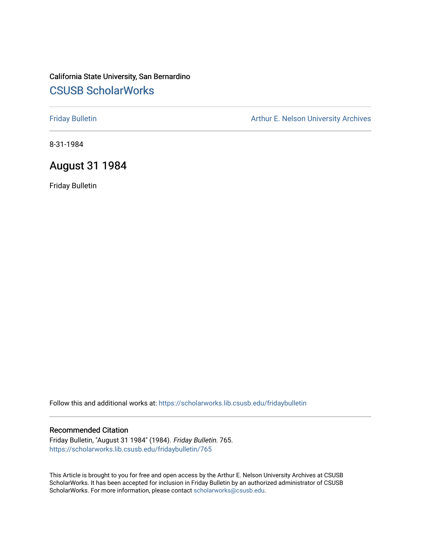# California State University, San Bernardino [CSUSB ScholarWorks](https://scholarworks.lib.csusb.edu/)

[Friday Bulletin](https://scholarworks.lib.csusb.edu/fridaybulletin) **Arthur E. Nelson University Archives** Arthur E. Nelson University Archives

8-31-1984

# August 31 1984

Friday Bulletin

Follow this and additional works at: [https://scholarworks.lib.csusb.edu/fridaybulletin](https://scholarworks.lib.csusb.edu/fridaybulletin?utm_source=scholarworks.lib.csusb.edu%2Ffridaybulletin%2F765&utm_medium=PDF&utm_campaign=PDFCoverPages)

#### Recommended Citation

Friday Bulletin, "August 31 1984" (1984). Friday Bulletin. 765. [https://scholarworks.lib.csusb.edu/fridaybulletin/765](https://scholarworks.lib.csusb.edu/fridaybulletin/765?utm_source=scholarworks.lib.csusb.edu%2Ffridaybulletin%2F765&utm_medium=PDF&utm_campaign=PDFCoverPages)

This Article is brought to you for free and open access by the Arthur E. Nelson University Archives at CSUSB ScholarWorks. It has been accepted for inclusion in Friday Bulletin by an authorized administrator of CSUSB ScholarWorks. For more information, please contact [scholarworks@csusb.edu.](mailto:scholarworks@csusb.edu)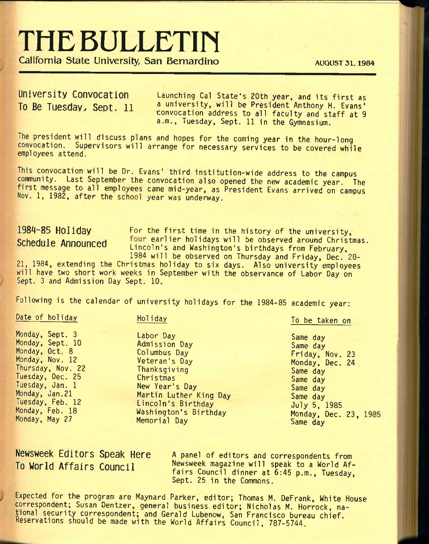# **THE BULLETIN**

California State University, San Bernardino **AUGUST 31, 1984** 

**University Convocation** Launching Cal state's 20th year, and Its first as To Be Tuesday, Sept. 11 a university, will be President Anthony H. Evans' convocation address to all faculty and staff at 9 a.m., Tuesday, Sept. 11 in the Gymnasium.

The president will discuss plans and hopes for the coming year in the hour-long convocation. Supervisors will arrange for necessary services to be covered while employees attend.

This convocation will be Dr. Evans' third institution-wide address to the campus community. Last September the convocation also opened the new academic year. The first message to all employees came mid-year, as President Evans arrived on campus Nov. 1, 1982, after the school year was underway.

1984-85 Holiday For the first time in the history of the university, Schedule Announced four earlier holidays will be observed around Christmas. Lincoln's and Washington's birthdays from February, 1984 will be observed on Thursday and Friday, Dec, 20-

21, 1984, extending the Christmas holiday to six days. Also university employees will have two short work weeks in September with the observance of Labor Day on Sept. 3 and Admission Day Sept. 10.

Following is the calendar of university holidays for the 1984-85 academic year:

Date of holiday

Monday, Sept. 3 Monday, Sept. 10 Monday, Oct. 8 Monday, Nov. 12 Thursday, Nov. 22 Tuesday, Dec. 25 Tuesday, Jan. 1 Monday, Jan.21 Tuesday, Feb. 12 Monday, Feb. 18 Monday, May 27

Holiday

Labor Day Admission Day Columbus Day Veteran's Day **Thanksgiving** Christmas

New Year's Day

Memorial Day

Martin Luther King Day Lincoln's Birthday Washington's Birthday

Same day Same day Friday, Nov. 23 Monday, Dec. 24 Same day Same day Same day Same day July 5, 1985 Monday, Dec. 23, Same day

To be taken on

**Newsweek Editors Speak Here To World Affairs Council** 

A panel of editors and correspondents from Newsweek magazine will speak to a World Affairs Council dinner at 6:45 p.m., Tuesday, Sept. 25 in the Commons.

Expected for the program are Maynard Parker, editor; Thomas M. DeFrank, White House correspondent; Susan Dentzer, general business.editor; Nicholas M. Horrock, national security correspondent; and Gerald Lubenow, San Francisco bureau chief. Keservations should be made with the World Affairs Council, 787-5744.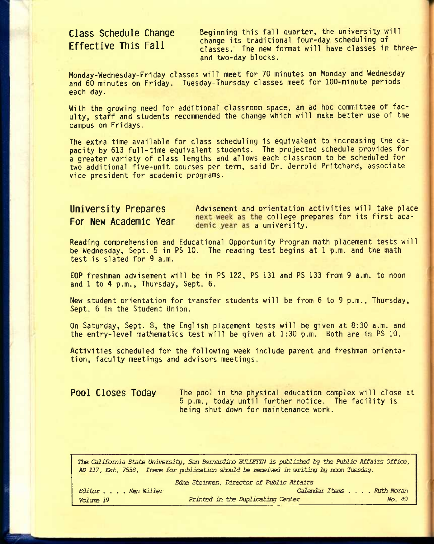# **Class Schedule Change Effective This Fall**

Beginning this fall quarter, the university will change its traditional four-day scheduling of classes. The new format will have classes in threeand two-day blocks.

Monday-Wednesday-Friday classes will meet for 70 minutes on Monday and Wednesday and 60 minutes on Friday. Tuesday-Thursday classes meet for 100-minute periods each day.

With the growing need for additional classroom space, an ad hoc committee of faculty, staff and students recommended the change which will make better use of the campus on Fridays.

The extra time available for class scheduling is equivalent to increasing the capacity by 613 full-time equivalent students. The projected schedule provides for a greater variety of class lengths and allows each classroom to be scheduled for two additional five-unit courses per term, said Dr. Jerrold Pritchard, associate vice president for academic programs.

| University Prepares   | Advisement and orientation activities will take place                               |  |
|-----------------------|-------------------------------------------------------------------------------------|--|
| For New Academic Year | next week as the college prepares for its first aca-<br>demic year as a university. |  |

Reading comprehension and Educational Opportunity Program math placement tests will be Wednesday, Sept. 5 in PS 10. The reading test begins at 1 p.m. and the math test is slated for 9 a.m.

EOP freshman advisement will be in PS 122, PS 131 and PS 133 from 9 a.m. to noon and 1 to 4 p.m., Thursday, Sept. 6.

New student orientation for transfer students will be from 6 to 9 p.m., Thursday, Sept. 6 in the Student Union.

On Saturday, Sept. 8, the English placement tests will be given at 8:30 a.m. and the entry-level mathematics test will be given at 1:30 p.m. Both are in PS 10.

Activities scheduled for the following week include parent and freshman orientation, faculty meetings and advisors meetings.

**Pool Closes Today** The pool in the physical education complex will close at 5 p.m., today until further notice. The facility is being shut down for maintenance work.

*TTie California State Uni^rsity, San Bernardino BJHETIN is published by the Public Affairs Office, AD 117, Ext. 7558. Items for publicaticn* shcxiZd *be received in writing by nocn Ti^sday.* 

|                   | The TTI PROF. ISSUE THERE TOY MANIFORMED MANIFOLD TO TEMPLACE THE METALLY AS TEMPLE THOUGHT |        |
|-------------------|---------------------------------------------------------------------------------------------|--------|
|                   | Edna Steinman, Director of Public Affairs                                                   |        |
| Editor Ken Miller | Calendar Items Ruth Moran                                                                   |        |
| Volume 19         | Printed in the Duplicating Center                                                           | No. 49 |
|                   |                                                                                             |        |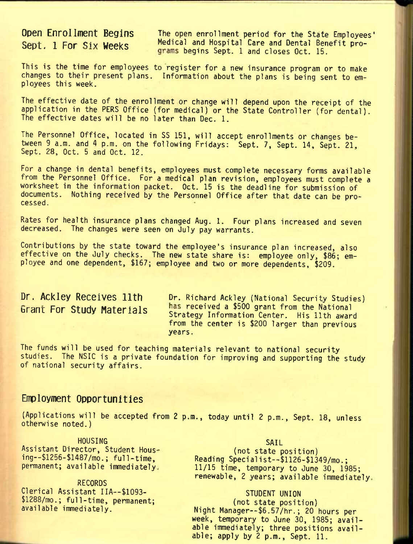**Open Enrollment Begins** The open enrollment period for the State Employees' Sept. 1 For Six Weeks Medical and Hospital Care and Dental Benefit programs begins Sept. 1 and closes Oct. 15.

This is the time for employees to register for a new insurance program or to make changes to their present plans. Information about the plans is being sent to employees this week.

The effective date of the enrollment or change will depend upon the receipt of the application in the PERS Office (for medical) or the State Controller (for dental). The effective dates will be no later than Dec. 1.

The Personnel Office, located in SS 151, will accept enrollments or changes between 9 a.m. and 4 p.m. on the following Fridays: Sept. 7, Sept. 14, Sept. 21, Sept. 28, Oct. 5 and Oct. 12.

For a change in dental benefits, employees must complete necessary forms available from the Personnel Office. For a medical plan revision, employees must complete a worksheet in the information packet. Oct. 15 is the deadline for submission of documents. Nothing received by the Personnel Office after that date can be processed.

Rates for health insurance plans changed Aug. 1. Four plans increased and seven decreased. The changes were seen on July pay warrants.

Contributions by the state toward the employee's insurance plan increased, also effective on the July checks. The new state share is: employee only, \$86; employee and one dependent, \$167; employee and two or more dependents, \$209.

Dr. Ackley Receives 11th Dr. Richard Ackley (National Security Studies) Fnr <^tiifiv Matprialc received a \$500 grant from the National **brant l-or btuay nateriais** strategy information Center. His 11th award from the center is \$200 larger than previous years.

The funds will be used for teaching materials relevant to national security studies. The NSIC is a private foundation for improving and supporting the study of national security affairs.

## **Employment Opportunities**

(Applications will be accepted from 2 p.m., today until 2 p.m., Sept. 18, unless otherwise noted.)

**HOUSING** Assistant Director, Student Housing--\$1256-\$1487/mo.; ful1-time, permanent; available immediately,

**RECORDS** Clerical Assistant IIA--\$1093- \$1288/mo.; full-time, permanent; available immediately.

#### SAIL

(not state position) Reading Specialist--\$1126-\$1349/mo.; 11/15 time, temporary to June 30, 1985; renewable, 2 years; available immediately,

#### STUDENT UNION

(not state position) Night Manager—\$6.57/hr.; 20 hours per week, temporary to June 30, 1985; available immediately; three positions available; apply by 2 p.m., Sept. 11.